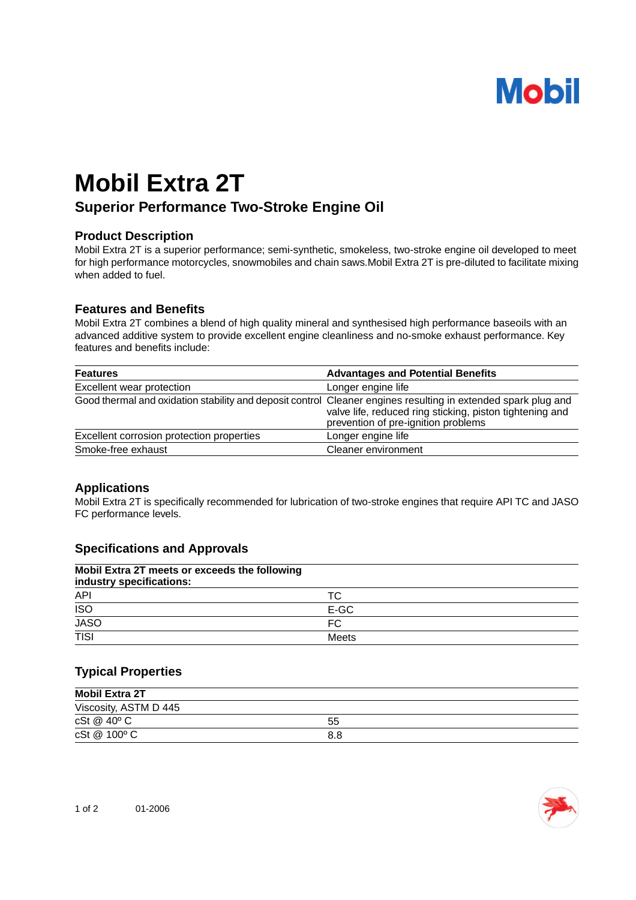

# **Mobil Extra 2T**

## **Superior Performance Two-Stroke Engine Oil**

#### **Product Description**

Mobil Extra 2T is a superior performance; semi-synthetic, smokeless, two-stroke engine oil developed to meet for high performance motorcycles, snowmobiles and chain saws.Mobil Extra 2T is pre-diluted to facilitate mixing when added to fuel.

#### **Features and Benefits**

Mobil Extra 2T combines a blend of high quality mineral and synthesised high performance baseoils with an advanced additive system to provide excellent engine cleanliness and no-smoke exhaust performance. Key features and benefits include:

| <b>Features</b>                                                                                               | <b>Advantages and Potential Benefits</b>                                                        |
|---------------------------------------------------------------------------------------------------------------|-------------------------------------------------------------------------------------------------|
| Excellent wear protection                                                                                     | Longer engine life                                                                              |
| Good thermal and oxidation stability and deposit control Cleaner engines resulting in extended spark plug and | valve life, reduced ring sticking, piston tightening and<br>prevention of pre-ignition problems |
| Excellent corrosion protection properties                                                                     | Longer engine life                                                                              |
| Smoke-free exhaust                                                                                            | Cleaner environment                                                                             |

#### **Applications**

Mobil Extra 2T is specifically recommended for lubrication of two-stroke engines that require API TC and JASO FC performance levels.

### **Specifications and Approvals**

| Mobil Extra 2T meets or exceeds the following<br>industry specifications: |       |  |
|---------------------------------------------------------------------------|-------|--|
| <b>API</b>                                                                | ТC    |  |
| $\overline{ISO}$                                                          | E-GC  |  |
| <b>JASO</b>                                                               | FC    |  |
| TISI                                                                      | Meets |  |

#### **Typical Properties**

| <b>Mobil Extra 2T</b> |     |
|-----------------------|-----|
| Viscosity, ASTM D 445 |     |
| cSt @ 40°C            | 55  |
| cSt @ 100° C          | 8.8 |